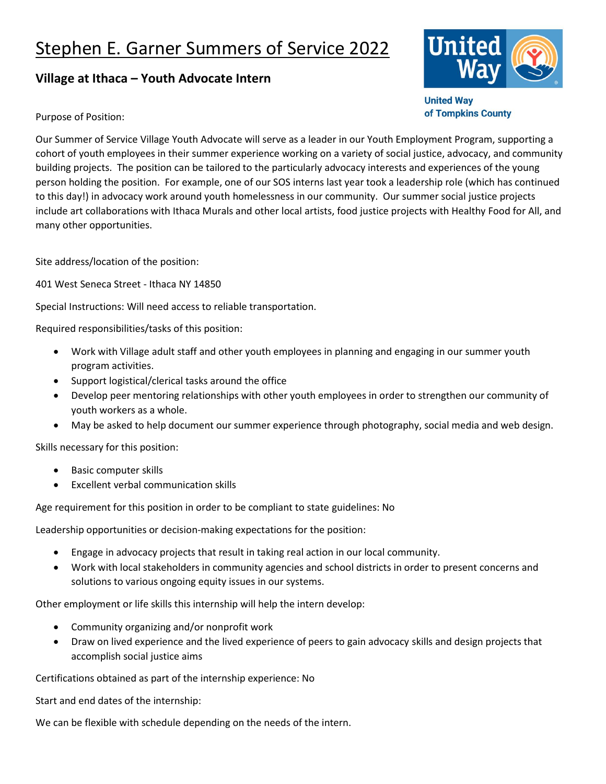## Stephen E. Garner Summers of Service 2022

## **Village at Ithaca – Youth Advocate Intern**



**United Way** of Tompkins County

Purpose of Position:

Our Summer of Service Village Youth Advocate will serve as a leader in our Youth Employment Program, supporting a cohort of youth employees in their summer experience working on a variety of social justice, advocacy, and community building projects. The position can be tailored to the particularly advocacy interests and experiences of the young person holding the position. For example, one of our SOS interns last year took a leadership role (which has continued to this day!) in advocacy work around youth homelessness in our community. Our summer social justice projects include art collaborations with Ithaca Murals and other local artists, food justice projects with Healthy Food for All, and many other opportunities.

Site address/location of the position:

401 West Seneca Street - Ithaca NY 14850

Special Instructions: Will need access to reliable transportation.

Required responsibilities/tasks of this position:

- Work with Village adult staff and other youth employees in planning and engaging in our summer youth program activities.
- Support logistical/clerical tasks around the office
- Develop peer mentoring relationships with other youth employees in order to strengthen our community of youth workers as a whole.
- May be asked to help document our summer experience through photography, social media and web design.

Skills necessary for this position:

- Basic computer skills
- Excellent verbal communication skills

Age requirement for this position in order to be compliant to state guidelines: No

Leadership opportunities or decision-making expectations for the position:

- Engage in advocacy projects that result in taking real action in our local community.
- Work with local stakeholders in community agencies and school districts in order to present concerns and solutions to various ongoing equity issues in our systems.

Other employment or life skills this internship will help the intern develop:

- Community organizing and/or nonprofit work
- Draw on lived experience and the lived experience of peers to gain advocacy skills and design projects that accomplish social justice aims

Certifications obtained as part of the internship experience: No

Start and end dates of the internship:

We can be flexible with schedule depending on the needs of the intern.